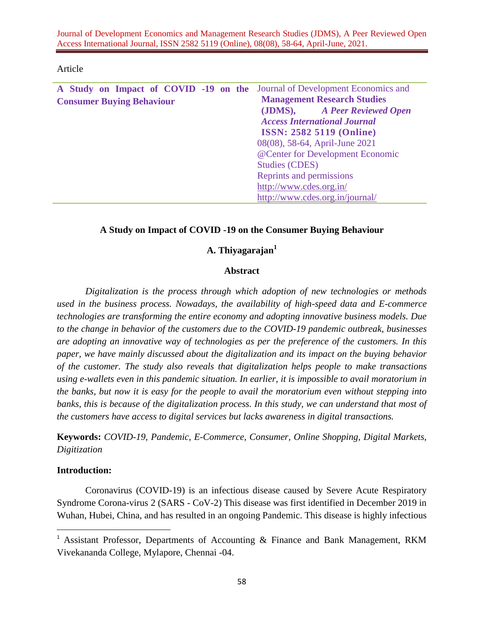Journal of Development Economics and Management Research Studies (JDMS), A Peer Reviewed Open Access International Journal, ISSN 2582 5119 (Online), 08(08), 58-64, April-June, 2021.

| A Study on Impact of COVID -19 on the Journal of Development Economics and |                                     |  |
|----------------------------------------------------------------------------|-------------------------------------|--|
| <b>Consumer Buying Behaviour</b>                                           | <b>Management Research Studies</b>  |  |
|                                                                            | (JDMS), A Peer Reviewed Open        |  |
|                                                                            | <b>Access International Journal</b> |  |
|                                                                            | <b>ISSN: 2582 5119 (Online)</b>     |  |
|                                                                            | 08(08), 58-64, April-June 2021      |  |
|                                                                            | @Center for Development Economic    |  |
|                                                                            | <b>Studies (CDES)</b>               |  |
|                                                                            | Reprints and permissions            |  |
|                                                                            | http://www.cdes.org.in/             |  |
|                                                                            | http://www.cdes.org.in/journal/     |  |

#### Article

#### **A Study on Impact of COVID -19 on the Consumer Buying Behaviour**

# **A. Thiyagarajan<sup>1</sup>**

#### **Abstract**

*Digitalization is the process through which adoption of new technologies or methods used in the business process. Nowadays, the availability of high-speed data and E-commerce technologies are transforming the entire economy and adopting innovative business models. Due to the change in behavior of the customers due to the COVID-19 pandemic outbreak, businesses are adopting an innovative way of technologies as per the preference of the customers. In this paper, we have mainly discussed about the digitalization and its impact on the buying behavior of the customer. The study also reveals that digitalization helps people to make transactions using e-wallets even in this pandemic situation. In earlier, it is impossible to avail moratorium in the banks, but now it is easy for the people to avail the moratorium even without stepping into banks, this is because of the digitalization process. In this study, we can understand that most of the customers have access to digital services but lacks awareness in digital transactions.*

**Keywords:** *COVID-19, Pandemic, E-Commerce, Consumer, Online Shopping, Digital Markets, Digitization* 

#### **Introduction:**

 $\overline{a}$ 

Coronavirus (COVID-19) is an infectious disease caused by Severe Acute Respiratory Syndrome Corona-virus 2 (SARS - CoV-2) This disease was first identified in December 2019 in Wuhan, Hubei, China, and has resulted in an ongoing Pandemic. This disease is highly infectious

<sup>&</sup>lt;sup>1</sup> Assistant Professor, Departments of Accounting & Finance and Bank Management, RKM Vivekananda College, Mylapore, Chennai -04.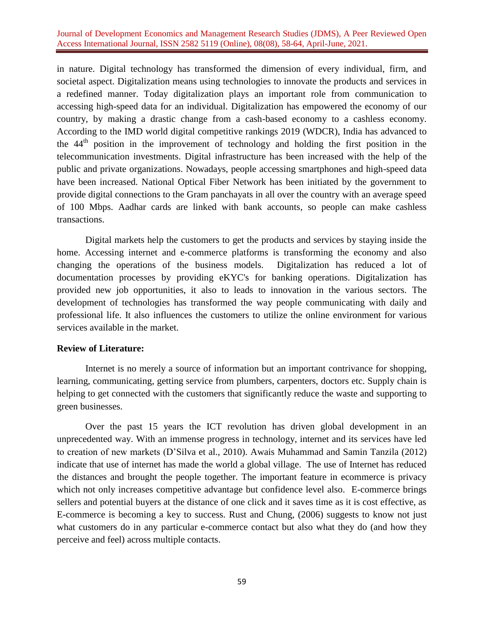#### Journal of Development Economics and Management Research Studies (JDMS), A Peer Reviewed Open Access International Journal, ISSN 2582 5119 (Online), 08(08), 58-64, April-June, 2021.

in nature. Digital technology has transformed the dimension of every individual, firm, and societal aspect. Digitalization means using technologies to innovate the products and services in a redefined manner. Today digitalization plays an important role from communication to accessing high-speed data for an individual. Digitalization has empowered the economy of our country, by making a drastic change from a cash-based economy to a cashless economy. According to the IMD world digital competitive rankings 2019 (WDCR), India has advanced to the  $44<sup>th</sup>$  position in the improvement of technology and holding the first position in the telecommunication investments. Digital infrastructure has been increased with the help of the public and private organizations. Nowadays, people accessing smartphones and high-speed data have been increased. National Optical Fiber Network has been initiated by the government to provide digital connections to the Gram panchayats in all over the country with an average speed of 100 Mbps. Aadhar cards are linked with bank accounts, so people can make cashless transactions.

Digital markets help the customers to get the products and services by staying inside the home. Accessing internet and e-commerce platforms is transforming the economy and also changing the operations of the business models. Digitalization has reduced a lot of documentation processes by providing eKYC's for banking operations. Digitalization has provided new job opportunities, it also to leads to innovation in the various sectors. The development of technologies has transformed the way people communicating with daily and professional life. It also influences the customers to utilize the online environment for various services available in the market.

#### **Review of Literature:**

Internet is no merely a source of information but an important contrivance for shopping, learning, communicating, getting service from plumbers, carpenters, doctors etc. Supply chain is helping to get connected with the customers that significantly reduce the waste and supporting to green businesses.

Over the past 15 years the ICT revolution has driven global development in an unprecedented way. With an immense progress in technology, internet and its services have led to creation of new markets (D'Silva et al., 2010). Awais Muhammad and Samin Tanzila (2012) indicate that use of internet has made the world a global village. The use of Internet has reduced the distances and brought the people together. The important feature in ecommerce is privacy which not only increases competitive advantage but confidence level also. E-commerce brings sellers and potential buyers at the distance of one click and it saves time as it is cost effective, as E-commerce is becoming a key to success. Rust and Chung, (2006) suggests to know not just what customers do in any particular e-commerce contact but also what they do (and how they perceive and feel) across multiple contacts.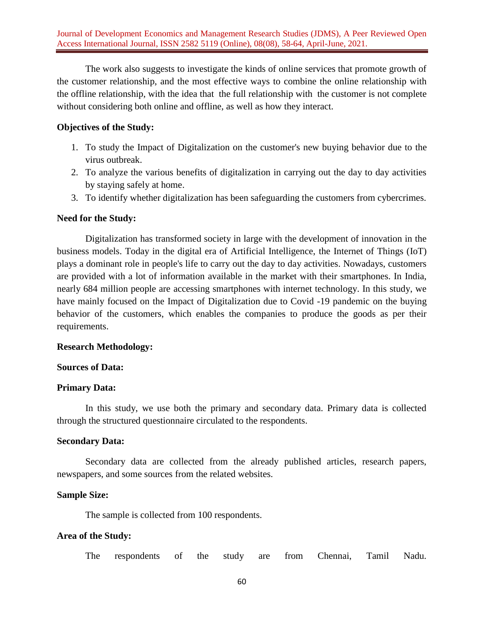The work also suggests to investigate the kinds of online services that promote growth of the customer relationship, and the most effective ways to combine the online relationship with the offline relationship, with the idea that the full relationship with the customer is not complete without considering both online and offline, as well as how they interact.

## **Objectives of the Study:**

- 1. To study the Impact of Digitalization on the customer's new buying behavior due to the virus outbreak.
- 2. To analyze the various benefits of digitalization in carrying out the day to day activities by staying safely at home.
- 3. To identify whether digitalization has been safeguarding the customers from cybercrimes.

## **Need for the Study:**

Digitalization has transformed society in large with the development of innovation in the business models. Today in the digital era of Artificial Intelligence, the Internet of Things (IoT) plays a dominant role in people's life to carry out the day to day activities. Nowadays, customers are provided with a lot of information available in the market with their smartphones. In India, nearly 684 million people are accessing smartphones with internet technology. In this study, we have mainly focused on the Impact of Digitalization due to Covid -19 pandemic on the buying behavior of the customers, which enables the companies to produce the goods as per their requirements.

## **Research Methodology:**

## **Sources of Data:**

## **Primary Data:**

In this study, we use both the primary and secondary data. Primary data is collected through the structured questionnaire circulated to the respondents.

## **Secondary Data:**

Secondary data are collected from the already published articles, research papers, newspapers, and some sources from the related websites.

## **Sample Size:**

The sample is collected from 100 respondents.

#### **Area of the Study:**

The respondents of the study are from Chennai, Tamil Nadu.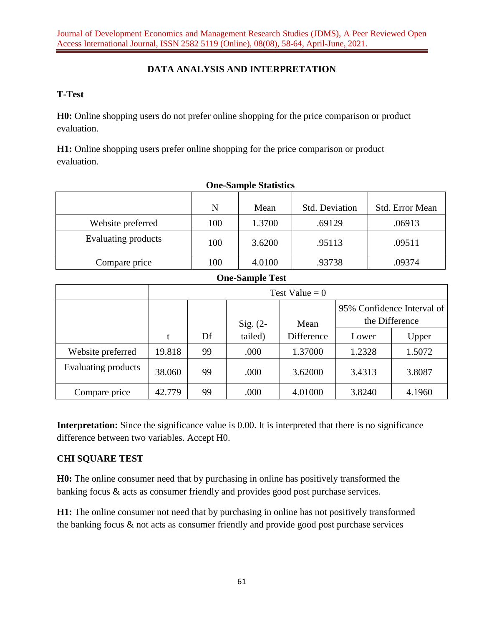# **DATA ANALYSIS AND INTERPRETATION**

## **T-Test**

**H0:** Online shopping users do not prefer online shopping for the price comparison or product evaluation.

**H1:** Online shopping users prefer online shopping for the price comparison or product evaluation.

|                     | N   | Mean   | <b>Std. Deviation</b> | <b>Std.</b> Error Mean |
|---------------------|-----|--------|-----------------------|------------------------|
| Website preferred   | 100 | 1.3700 | .69129                | .06913                 |
| Evaluating products | 100 | 3.6200 | .95113                | .09511                 |
| Compare price       | 100 | 4.0100 | .93738                | .09374                 |

## **One-Sample Statistics**

# **One-Sample Test**

|                     | Test Value = $0$ |    |            |            |                                              |        |
|---------------------|------------------|----|------------|------------|----------------------------------------------|--------|
|                     |                  |    | Sig. $(2-$ | Mean       | 95% Confidence Interval of<br>the Difference |        |
|                     |                  | Df | tailed)    | Difference | Lower                                        | Upper  |
| Website preferred   | 19.818           | 99 | .000       | 1.37000    | 1.2328                                       | 1.5072 |
| Evaluating products | 38.060           | 99 | .000       | 3.62000    | 3.4313                                       | 3.8087 |
| Compare price       | 42.779           | 99 | .000       | 4.01000    | 3.8240                                       | 4.1960 |

**Interpretation:** Since the significance value is 0.00. It is interpreted that there is no significance difference between two variables. Accept H0.

# **CHI SQUARE TEST**

**H0:** The online consumer need that by purchasing in online has positively transformed the banking focus & acts as consumer friendly and provides good post purchase services.

**H1:** The online consumer not need that by purchasing in online has not positively transformed the banking focus & not acts as consumer friendly and provide good post purchase services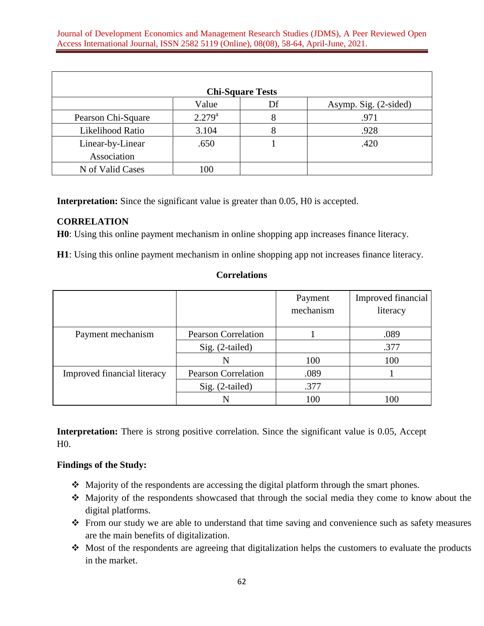| <b>Chi-Square Tests</b> |             |    |                       |  |
|-------------------------|-------------|----|-----------------------|--|
|                         | Value       | Df | Asymp. Sig. (2-sided) |  |
| Pearson Chi-Square      | $2.279^{a}$ | 8  | .971                  |  |
| Likelihood Ratio        | 3.104       | 8  | .928                  |  |
| Linear-by-Linear        | .650        |    | .420                  |  |
| Association             |             |    |                       |  |
| N of Valid Cases        | 100         |    |                       |  |

**Interpretation:** Since the significant value is greater than 0.05, H0 is accepted.

## **CORRELATION**

**H0**: Using this online payment mechanism in online shopping app increases finance literacy.

**H1**: Using this online payment mechanism in online shopping app not increases finance literacy.

#### **Correlations**

|                             |                            | Payment<br>mechanism | Improved financial<br>literacy |
|-----------------------------|----------------------------|----------------------|--------------------------------|
| Payment mechanism           | <b>Pearson Correlation</b> |                      | .089                           |
|                             | Sig. (2-tailed)            |                      | .377                           |
|                             | N                          | 100                  | 100                            |
| Improved financial literacy | <b>Pearson Correlation</b> | .089                 |                                |
|                             | Sig. (2-tailed)            | .377                 |                                |
|                             |                            | 100                  | 100                            |

**Interpretation:** There is strong positive correlation. Since the significant value is 0.05, Accept H0.

## **Findings of the Study:**

- Majority of the respondents are accessing the digital platform through the smart phones.
- Majority of the respondents showcased that through the social media they come to know about the digital platforms.
- \* From our study we are able to understand that time saving and convenience such as safety measures are the main benefits of digitalization.
- Most of the respondents are agreeing that digitalization helps the customers to evaluate the products in the market.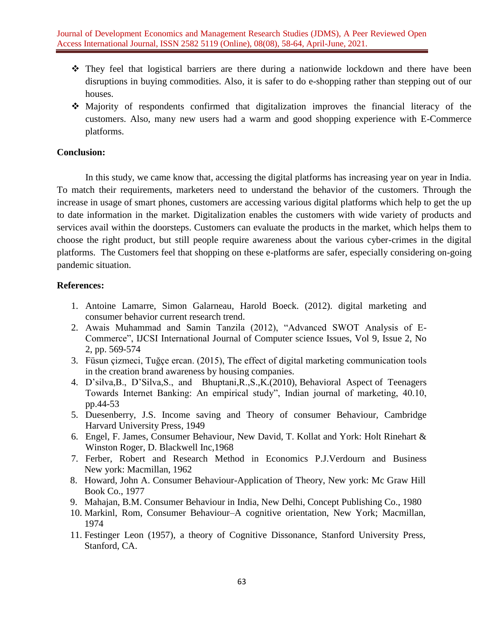- They feel that logistical barriers are there during a nationwide lockdown and there have been disruptions in buying commodities. Also, it is safer to do e-shopping rather than stepping out of our houses.
- Majority of respondents confirmed that digitalization improves the financial literacy of the customers. Also, many new users had a warm and good shopping experience with E-Commerce platforms.

## **Conclusion:**

In this study, we came know that, accessing the digital platforms has increasing year on year in India. To match their requirements, marketers need to understand the behavior of the customers. Through the increase in usage of smart phones, customers are accessing various digital platforms which help to get the up to date information in the market. Digitalization enables the customers with wide variety of products and services avail within the doorsteps. Customers can evaluate the products in the market, which helps them to choose the right product, but still people require awareness about the various cyber-crimes in the digital platforms. The Customers feel that shopping on these e-platforms are safer, especially considering on-going pandemic situation.

#### **References:**

- 1. Antoine Lamarre, Simon Galarneau, Harold Boeck. (2012). digital marketing and consumer behavior current research trend.
- 2. Awais Muhammad and Samin Tanzila (2012), "Advanced SWOT Analysis of E-Commerce", IJCSI International Journal of Computer science Issues, Vol 9, Issue 2, No 2, pp. 569-574
- 3. Füsun çizmeci, Tuğçe ercan. (2015), The effect of digital marketing communication tools in the creation brand awareness by housing companies.
- 4. D'silva,B., D'Silva,S., and Bhuptani,R.,S.,K.(2010), Behavioral Aspect of Teenagers Towards Internet Banking: An empirical study", Indian journal of marketing, 40.10, pp.44-53
- 5. Duesenberry, J.S. Income saving and Theory of consumer Behaviour, Cambridge Harvard University Press, 1949
- 6. Engel, F. James, Consumer Behaviour, New David, T. Kollat and York: Holt Rinehart & Winston Roger, D. Blackwell Inc,1968
- 7. Ferber, Robert and Research Method in Economics P.J.Verdourn and Business New york: Macmillan, 1962
- 8. Howard, John A. Consumer Behaviour-Application of Theory, New york: Mc Graw Hill Book Co., 1977
- 9. Mahajan, B.M. Consumer Behaviour in India, New Delhi, Concept Publishing Co., 1980
- 10. Markinl, Rom, Consumer Behaviour–A cognitive orientation, New York; Macmillan, 1974
- 11. Festinger Leon (1957), a theory of Cognitive Dissonance, Stanford University Press, Stanford, CA.